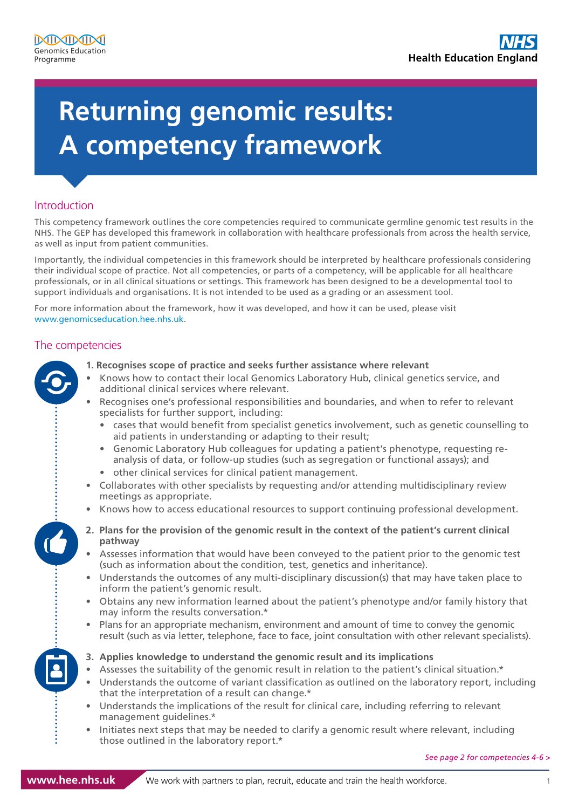# **A competency framework Returning genomic results:**

## Introduction

This competency framework outlines the core competencies required to communicate germline genomic test results in the NHS. The GEP has developed this framework in collaboration with healthcare professionals from across the health service, as well as input from patient communities.

Importantly, the individual competencies in this framework should be interpreted by healthcare professionals considering their individual scope of practice. Not all competencies, or parts of a competency, will be applicable for all healthcare professionals, or in all clinical situations or settings. This framework has been designed to be a developmental tool to support individuals and organisations. It is not intended to be used as a grading or an assessment tool.

For more information about the framework, how it was developed, and how it can be used, please visit www.genomicseducation.hee.nhs.uk.

## The competencies

- 
- **1. Recognises scope of practice and seeks further assistance where relevant**
	- Knows how to contact their local Genomics Laboratory Hub, clinical genetics service, and additional clinical services where relevant.
		- Recognises one's professional responsibilities and boundaries, and when to refer to relevant specialists for further support, including:
			- cases that would benefit from specialist genetics involvement, such as genetic counselling to aid patients in understanding or adapting to their result;
			- Genomic Laboratory Hub colleagues for updating a patient's phenotype, requesting reanalysis of data, or follow-up studies (such as segregation or functional assays); and
		- other clinical services for clinical patient management.
	- Collaborates with other specialists by requesting and/or attending multidisciplinary review meetings as appropriate.
	- Knows how to access educational resources to support continuing professional development.
	- **2. Plans for the provision of the genomic result in the context of the patient's current clinical pathway**
	- Assesses information that would have been conveyed to the patient prior to the genomic test (such as information about the condition, test, genetics and inheritance).
	- Understands the outcomes of any multi-disciplinary discussion(s) that may have taken place to inform the patient's genomic result.
	- Obtains any new information learned about the patient's phenotype and/or family history that may inform the results conversation.\*
	- Plans for an appropriate mechanism, environment and amount of time to convey the genomic result (such as via letter, telephone, face to face, joint consultation with other relevant specialists).
	- **3. Applies knowledge to understand the genomic result and its implications**
	- Assesses the suitability of the genomic result in relation to the patient's clinical situation.\*
	- Understands the outcome of variant classification as outlined on the laboratory report, including that the interpretation of a result can change.\*
	- Understands the implications of the result for clinical care, including referring to relevant management guidelines.\*
	- Initiates next steps that may be needed to clarify a genomic result where relevant, including those outlined in the laboratory report.\*

*See page 2 for competencies 4-6 >*